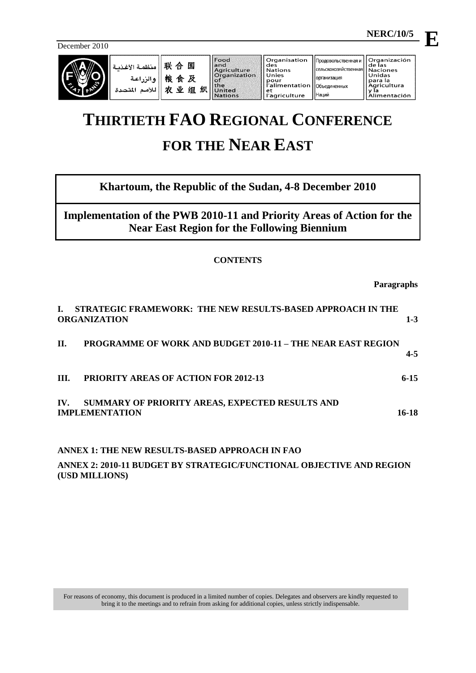December 2010

| $\sim$ | منظمة الأغذد<br>الزراعية<br>لمتحدة | 畔<br>≙<br>粮<br>食<br>١V<br>发 | 国<br>及<br>织<br>组 | Food<br>land<br>Agriculture<br><b>Organization</b><br>ு<br>the<br>United<br><b>Nations</b> | Organisation<br>des<br><b>Nations</b><br>Unies<br>pour<br>r'alimentation   Объединенных<br>et<br>l'agriculture | продовольственная и<br>Псельскохозяйственная   Naciones<br><b>Порганизация</b><br><b>Наций</b> | <b>Organización</b><br>de las<br>Unidas<br>l para la<br>Agricultura<br>limentación |
|--------|------------------------------------|-----------------------------|------------------|--------------------------------------------------------------------------------------------|----------------------------------------------------------------------------------------------------------------|------------------------------------------------------------------------------------------------|------------------------------------------------------------------------------------|
|--------|------------------------------------|-----------------------------|------------------|--------------------------------------------------------------------------------------------|----------------------------------------------------------------------------------------------------------------|------------------------------------------------------------------------------------------------|------------------------------------------------------------------------------------|

# **THIRTIETH FAO REGIONAL CONFERENCE FOR THE NEAR EAST**

# **Khartoum, the Republic of the Sudan, 4-8 December 2010**

**Implementation of the PWB 2010-11 and Priority Areas of Action for the Near East Region for the Following Biennium** 

# **CONTENTS**

**Paragraphs**

|      | STRATEGIC FRAMEWORK: THE NEW RESULTS-BASED APPROACH IN THE<br><b>ORGANIZATION</b> | $1 - 3$  |
|------|-----------------------------------------------------------------------------------|----------|
| Н.   | <b>PROGRAMME OF WORK AND BUDGET 2010-11 - THE NEAR EAST REGION</b>                | $4 - 5$  |
| III. | <b>PRIORITY AREAS OF ACTION FOR 2012-13</b>                                       | $6 - 15$ |
| IV.  | SUMMARY OF PRIORITY AREAS, EXPECTED RESULTS AND<br><b>IMPLEMENTATION</b>          | 16-18    |
|      | ANNEX 1: THE NEW RESULTS-BASED APPROACH IN FAO                                    |          |
|      | A NNEV 2. 2010 11 RHDCET BV STDATECIC/EHNCTIONAL ORIECTIVE AND DECION             |          |

**ANNEX 2: 2010-11 BUDGET BY STRATEGIC/FUNCTIONAL OBJECTIVE AND REGION (USD MILLIONS)**

 **NERC/10/5 E**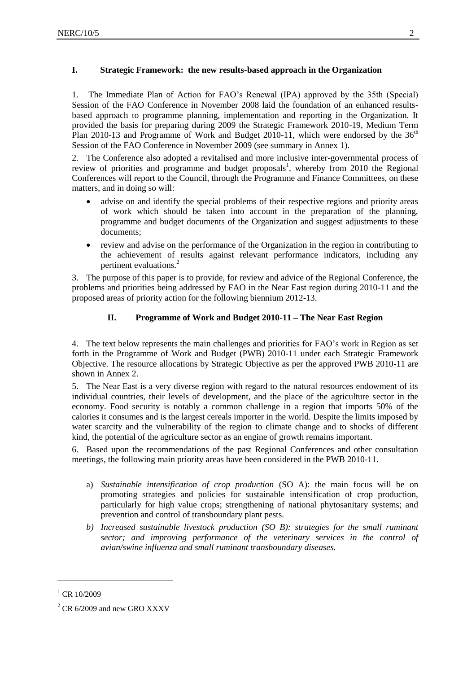# <span id="page-1-0"></span>**I. Strategic Framework: the new results-based approach in the Organization**

1. The Immediate Plan of Action for FAO's Renewal (IPA) approved by the 35th (Special) Session of the FAO Conference in November 2008 laid the foundation of an enhanced resultsbased approach to programme planning, implementation and reporting in the Organization. It provided the basis for preparing during 2009 the Strategic Framework 2010-19, Medium Term Plan 2010-13 and Programme of Work and Budget 2010-11, which were endorsed by the  $36<sup>th</sup>$ Session of the FAO Conference in November 2009 (see summary in Annex 1).

2. The Conference also adopted a revitalised and more inclusive inter-governmental process of review of priorities and programme and budget proposals<sup>1</sup>, whereby from 2010 the Regional Conferences will report to the Council, through the Programme and Finance Committees, on these matters, and in doing so will:

- advise on and identify the special problems of their respective regions and priority areas of work which should be taken into account in the preparation of the planning, programme and budget documents of the Organization and suggest adjustments to these documents;
- review and advise on the performance of the Organization in the region in contributing to the achievement of results against relevant performance indicators, including any pertinent evaluations.<sup>2</sup>

<span id="page-1-1"></span>3. The purpose of this paper is to provide, for review and advice of the Regional Conference, the problems and priorities being addressed by FAO in the Near East region during 2010-11 and the proposed areas of priority action for the following biennium 2012-13.

# **II. Programme of Work and Budget 2010-11 – The Near East Region**

4. The text below represents the main challenges and priorities for FAO's work in Region as set forth in the Programme of Work and Budget (PWB) 2010-11 under each Strategic Framework Objective. The resource allocations by Strategic Objective as per the approved PWB 2010-11 are shown in Annex 2.

5. The Near East is a very diverse region with regard to the natural resources endowment of its individual countries, their levels of development, and the place of the agriculture sector in the economy. Food security is notably a common challenge in a region that imports 50% of the calories it consumes and is the largest cereals importer in the world. Despite the limits imposed by water scarcity and the vulnerability of the region to climate change and to shocks of different kind, the potential of the agriculture sector as an engine of growth remains important.

6. Based upon the recommendations of the past Regional Conferences and other consultation meetings, the following main priority areas have been considered in the PWB 2010-11.

- a) *Sustainable intensification of crop production* (SO A): the main focus will be on promoting strategies and policies for sustainable intensification of crop production, particularly for high value crops; strengthening of national phytosanitary systems; and prevention and control of transboundary plant pests.
- *b) Increased sustainable livestock production (SO B): strategies for the small ruminant*  sector; and improving performance of the veterinary services in the control of *avian/swine influenza and small ruminant transboundary diseases.*

-

 $^{1}$  CR 10/2009

 $^{2}$  CR 6/2009 and new GRO XXXV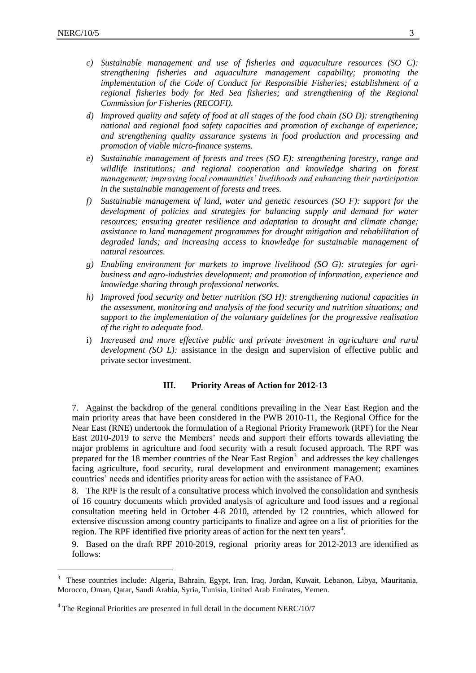1

- *c) Sustainable management and use of fisheries and aquaculture resources (SO C): strengthening fisheries and aquaculture management capability; promoting the implementation of the Code of Conduct for Responsible Fisheries; establishment of a regional fisheries body for Red Sea fisheries; and strengthening of the Regional Commission for Fisheries (RECOFI).*
- *d) Improved quality and safety of food at all stages of the food chain (SO D): strengthening national and regional food safety capacities and promotion of exchange of experience; and strengthening quality assurance systems in food production and processing and promotion of viable micro-finance systems.*
- *e) Sustainable management of forests and trees (SO E): strengthening forestry, range and wildlife institutions; and regional cooperation and knowledge sharing on forest management; improving local communities' livelihoods and enhancing their participation in the sustainable management of forests and trees.*
- *f) Sustainable management of land, water and genetic resources (SO F): support for the development of policies and strategies for balancing supply and demand for water resources; ensuring greater resilience and adaptation to drought and climate change; assistance to land management programmes for drought mitigation and rehabilitation of degraded lands; and increasing access to knowledge for sustainable management of natural resources.*
- *g) Enabling environment for markets to improve livelihood (SO G): strategies for agribusiness and agro-industries development; and promotion of information, experience and knowledge sharing through professional networks.*
- *h) Improved food security and better nutrition (SO H): strengthening national capacities in the assessment, monitoring and analysis of the food security and nutrition situations; and support to the implementation of the voluntary guidelines for the progressive realisation of the right to adequate food.*
- i) *Increased and more effective public and private investment in agriculture and rural development (SO L):* assistance in the design and supervision of effective public and private sector investment.

#### **III. Priority Areas of Action for 2012-13**

<span id="page-2-0"></span>7. Against the backdrop of the general conditions prevailing in the Near East Region and the main priority areas that have been considered in the PWB 2010-11, the Regional Office for the Near East (RNE) undertook the formulation of a Regional Priority Framework (RPF) for the Near East 2010-2019 to serve the Members' needs and support their efforts towards alleviating the major problems in agriculture and food security with a result focused approach. The RPF was prepared for the 18 member countries of the Near East Region<sup>3</sup> and addresses the key challenges facing agriculture, food security, rural development and environment management; examines countries' needs and identifies priority areas for action with the assistance of FAO.

8. The RPF is the result of a consultative process which involved the consolidation and synthesis of 16 country documents which provided analysis of agriculture and food issues and a regional consultation meeting held in October 4-8 2010, attended by 12 countries, which allowed for extensive discussion among country participants to finalize and agree on a list of priorities for the region. The RPF identified five priority areas of action for the next ten years $4$ .

9. Based on the draft RPF 2010-2019, regional priority areas for 2012-2013 are identified as follows:

<sup>&</sup>lt;sup>3</sup> These countries include: Algeria, Bahrain, Egypt, Iran, Iraq, Jordan, Kuwait, Lebanon, Libya, Mauritania, Morocco, Oman, Qatar, Saudi Arabia, Syria, Tunisia, United Arab Emirates, Yemen.

 $4$  The Regional Priorities are presented in full detail in the document NERC/10/7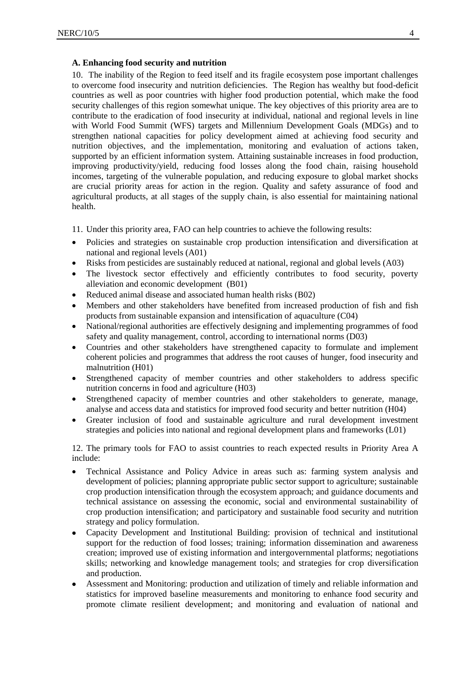#### **A. Enhancing food security and nutrition**

10. The inability of the Region to feed itself and its fragile ecosystem pose important challenges to overcome food insecurity and nutrition deficiencies. The Region has wealthy but food-deficit countries as well as poor countries with higher food production potential, which make the food security challenges of this region somewhat unique. The key objectives of this priority area are to contribute to the eradication of food insecurity at individual, national and regional levels in line with World Food Summit (WFS) targets and Millennium Development Goals (MDGs) and to strengthen national capacities for policy development aimed at achieving food security and nutrition objectives, and the implementation, monitoring and evaluation of actions taken, supported by an efficient information system. Attaining sustainable increases in food production, improving productivity/yield, reducing food losses along the food chain, raising household incomes, targeting of the vulnerable population, and reducing exposure to global market shocks are crucial priority areas for action in the region. Quality and safety assurance of food and agricultural products, at all stages of the supply chain, is also essential for maintaining national health.

11. Under this priority area, FAO can help countries to achieve the following results:

- Policies and strategies on sustainable crop production intensification and diversification at national and regional levels (A01)
- Risks from pesticides are sustainably reduced at national, regional and global levels (A03)
- The livestock sector effectively and efficiently contributes to food security, poverty alleviation and economic development (B01)
- Reduced animal disease and associated human health risks (B02)
- Members and other stakeholders have benefited from increased production of fish and fish products from sustainable expansion and intensification of aquaculture (C04)
- National/regional authorities are effectively designing and implementing programmes of food safety and quality management, control, according to international norms (D03)
- Countries and other stakeholders have strengthened capacity to formulate and implement coherent policies and programmes that address the root causes of hunger, food insecurity and malnutrition (H01)
- Strengthened capacity of member countries and other stakeholders to address specific nutrition concerns in food and agriculture (H03)
- Strengthened capacity of member countries and other stakeholders to generate, manage, analyse and access data and statistics for improved food security and better nutrition (H04)
- Greater inclusion of food and sustainable agriculture and rural development investment strategies and policies into national and regional development plans and frameworks (L01)

12. The primary tools for FAO to assist countries to reach expected results in Priority Area A include:

- Technical Assistance and Policy Advice in areas such as: farming system analysis and development of policies; planning appropriate public sector support to agriculture; sustainable crop production intensification through the ecosystem approach; and guidance documents and technical assistance on assessing the economic, social and environmental sustainability of crop production intensification; and participatory and sustainable food security and nutrition strategy and policy formulation.
- Capacity Development and Institutional Building: provision of technical and institutional support for the reduction of food losses; training; information dissemination and awareness creation; improved use of existing information and intergovernmental platforms; negotiations skills; networking and knowledge management tools; and strategies for crop diversification and production.
- Assessment and Monitoring: production and utilization of timely and reliable information and statistics for improved baseline measurements and monitoring to enhance food security and promote climate resilient development; and monitoring and evaluation of national and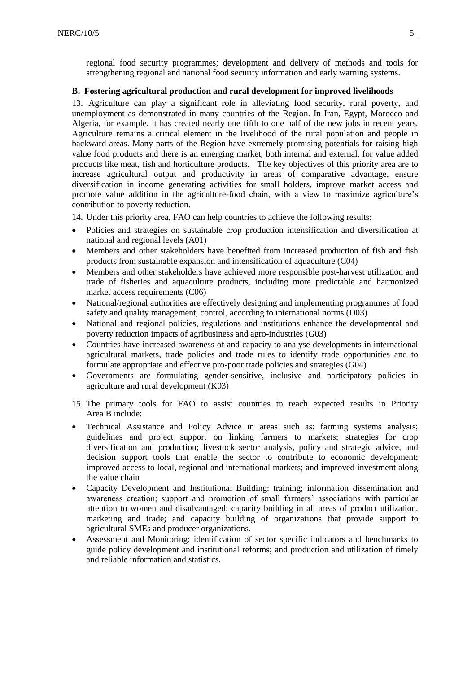regional food security programmes; development and delivery of methods and tools for strengthening regional and national food security information and early warning systems.

#### **B. Fostering agricultural production and rural development for improved livelihoods**

13. Agriculture can play a significant role in alleviating food security, rural poverty, and unemployment as demonstrated in many countries of the Region. In Iran, Egypt, Morocco and Algeria, for example, it has created nearly one fifth to one half of the new jobs in recent years. Agriculture remains a critical element in the livelihood of the rural population and people in backward areas. Many parts of the Region have extremely promising potentials for raising high value food products and there is an emerging market, both internal and external, for value added products like meat, fish and horticulture products. The key objectives of this priority area are to increase agricultural output and productivity in areas of comparative advantage, ensure diversification in income generating activities for small holders, improve market access and promote value addition in the agriculture-food chain, with a view to maximize agriculture's contribution to poverty reduction.

14. Under this priority area, FAO can help countries to achieve the following results:

- Policies and strategies on sustainable crop production intensification and diversification at national and regional levels (A01)
- Members and other stakeholders have benefited from increased production of fish and fish products from sustainable expansion and intensification of aquaculture (C04)
- Members and other stakeholders have achieved more responsible post-harvest utilization and trade of fisheries and aquaculture products, including more predictable and harmonized market access requirements (C06)
- National/regional authorities are effectively designing and implementing programmes of food safety and quality management, control, according to international norms (D03)
- National and regional policies, regulations and institutions enhance the developmental and poverty reduction impacts of agribusiness and agro-industries (G03)
- Countries have increased awareness of and capacity to analyse developments in international agricultural markets, trade policies and trade rules to identify trade opportunities and to formulate appropriate and effective pro-poor trade policies and strategies (G04)
- Governments are formulating gender-sensitive, inclusive and participatory policies in agriculture and rural development (K03)
- 15. The primary tools for FAO to assist countries to reach expected results in Priority Area B include:
- Technical Assistance and Policy Advice in areas such as: farming systems analysis; guidelines and project support on linking farmers to markets; strategies for crop diversification and production; livestock sector analysis, policy and strategic advice, and decision support tools that enable the sector to contribute to economic development; improved access to local, regional and international markets; and improved investment along the value chain
- Capacity Development and Institutional Building: training; information dissemination and awareness creation; support and promotion of small farmers' associations with particular attention to women and disadvantaged; capacity building in all areas of product utilization, marketing and trade; and capacity building of organizations that provide support to agricultural SMEs and producer organizations.
- Assessment and Monitoring: identification of sector specific indicators and benchmarks to guide policy development and institutional reforms; and production and utilization of timely and reliable information and statistics.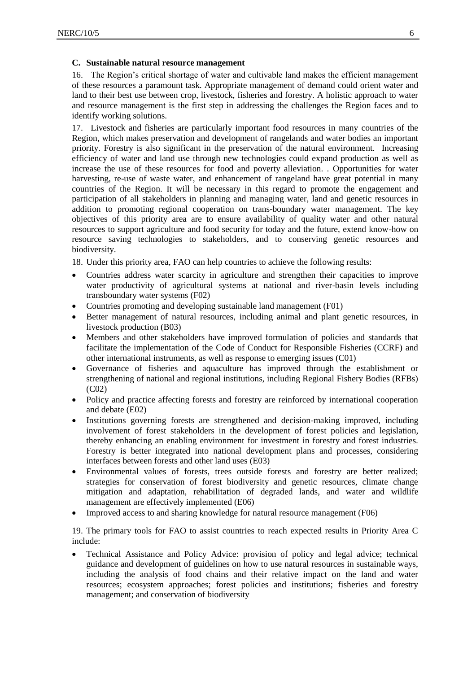#### **C. Sustainable natural resource management**

16. The Region's critical shortage of water and cultivable land makes the efficient management of these resources a paramount task. Appropriate management of demand could orient water and land to their best use between crop, livestock, fisheries and forestry. A holistic approach to water and resource management is the first step in addressing the challenges the Region faces and to identify working solutions.

17. Livestock and fisheries are particularly important food resources in many countries of the Region, which makes preservation and development of rangelands and water bodies an important priority. Forestry is also significant in the preservation of the natural environment. Increasing efficiency of water and land use through new technologies could expand production as well as increase the use of these resources for food and poverty alleviation. . Opportunities for water harvesting, re-use of waste water, and enhancement of rangeland have great potential in many countries of the Region. It will be necessary in this regard to promote the engagement and participation of all stakeholders in planning and managing water, land and genetic resources in addition to promoting regional cooperation on trans-boundary water management. The key objectives of this priority area are to ensure availability of quality water and other natural resources to support agriculture and food security for today and the future, extend know-how on resource saving technologies to stakeholders, and to conserving genetic resources and biodiversity.

18. Under this priority area, FAO can help countries to achieve the following results:

- Countries address water scarcity in agriculture and strengthen their capacities to improve water productivity of agricultural systems at national and river-basin levels including transboundary water systems (F02)
- Countries promoting and developing sustainable land management (F01)
- Better management of natural resources, including animal and plant genetic resources, in livestock production (B03)
- Members and other stakeholders have improved formulation of policies and standards that facilitate the implementation of the Code of Conduct for Responsible Fisheries (CCRF) and other international instruments, as well as response to emerging issues (C01)
- Governance of fisheries and aquaculture has improved through the establishment or strengthening of national and regional institutions, including Regional Fishery Bodies (RFBs) (C02)
- Policy and practice affecting forests and forestry are reinforced by international cooperation and debate (E02)
- Institutions governing forests are strengthened and decision-making improved, including involvement of forest stakeholders in the development of forest policies and legislation, thereby enhancing an enabling environment for investment in forestry and forest industries. Forestry is better integrated into national development plans and processes, considering interfaces between forests and other land uses (E03)
- Environmental values of forests, trees outside forests and forestry are better realized; strategies for conservation of forest biodiversity and genetic resources, climate change mitigation and adaptation, rehabilitation of degraded lands, and water and wildlife management are effectively implemented (E06)
- Improved access to and sharing knowledge for natural resource management (F06)

19. The primary tools for FAO to assist countries to reach expected results in Priority Area C include:

 Technical Assistance and Policy Advice: provision of policy and legal advice; technical guidance and development of guidelines on how to use natural resources in sustainable ways, including the analysis of food chains and their relative impact on the land and water resources; ecosystem approaches; forest policies and institutions; fisheries and forestry management; and conservation of biodiversity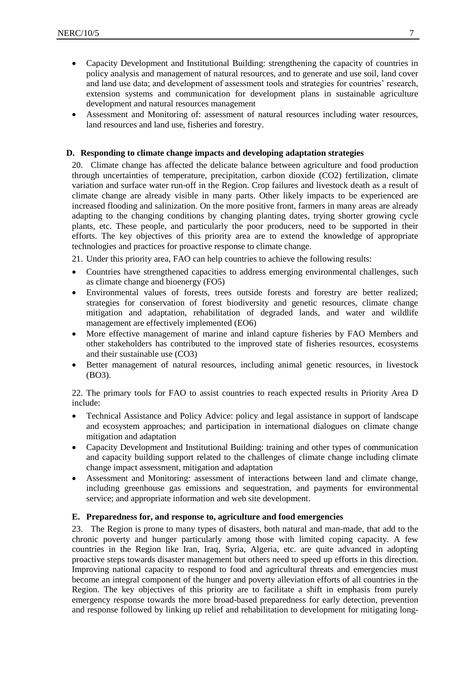- Capacity Development and Institutional Building: strengthening the capacity of countries in policy analysis and management of natural resources, and to generate and use soil, land cover and land use data; and development of assessment tools and strategies for countries' research, extension systems and communication for development plans in sustainable agriculture development and natural resources management
- Assessment and Monitoring of: assessment of natural resources including water resources, land resources and land use, fisheries and forestry.

#### **D. Responding to climate change impacts and developing adaptation strategies**

20. Climate change has affected the delicate balance between agriculture and food production through uncertainties of temperature, precipitation, carbon dioxide (CO2) fertilization, climate variation and surface water run-off in the Region. Crop failures and livestock death as a result of climate change are already visible in many parts. Other likely impacts to be experienced are increased flooding and salinization. On the more positive front, farmers in many areas are already adapting to the changing conditions by changing planting dates, trying shorter growing cycle plants, etc. These people, and particularly the poor producers, need to be supported in their efforts. The key objectives of this priority area are to extend the knowledge of appropriate technologies and practices for proactive response to climate change.

21. Under this priority area, FAO can help countries to achieve the following results:

- Countries have strengthened capacities to address emerging environmental challenges, such as climate change and bioenergy (FO5)
- Environmental values of forests, trees outside forests and forestry are better realized; strategies for conservation of forest biodiversity and genetic resources, climate change mitigation and adaptation, rehabilitation of degraded lands, and water and wildlife management are effectively implemented (EO6)
- More effective management of marine and inland capture fisheries by FAO Members and other stakeholders has contributed to the improved state of fisheries resources, ecosystems and their sustainable use (CO3)
- Better management of natural resources, including animal genetic resources, in livestock (BO3).

22. The primary tools for FAO to assist countries to reach expected results in Priority Area D include:

- Technical Assistance and Policy Advice: policy and legal assistance in support of landscape and ecosystem approaches; and participation in international dialogues on climate change mitigation and adaptation
- Capacity Development and Institutional Building: training and other types of communication and capacity building support related to the challenges of climate change including climate change impact assessment, mitigation and adaptation
- Assessment and Monitoring: assessment of interactions between land and climate change, including greenhouse gas emissions and sequestration, and payments for environmental service; and appropriate information and web site development.

#### **E. Preparedness for, and response to, agriculture and food emergencies**

23. The Region is prone to many types of disasters, both natural and man-made, that add to the chronic poverty and hunger particularly among those with limited coping capacity. A few countries in the Region like Iran, Iraq, Syria, Algeria, etc. are quite advanced in adopting proactive steps towards disaster management but others need to speed up efforts in this direction. Improving national capacity to respond to food and agricultural threats and emergencies must become an integral component of the hunger and poverty alleviation efforts of all countries in the Region. The key objectives of this priority are to facilitate a shift in emphasis from purely emergency response towards the more broad-based preparedness for early detection, prevention and response followed by linking up relief and rehabilitation to development for mitigating long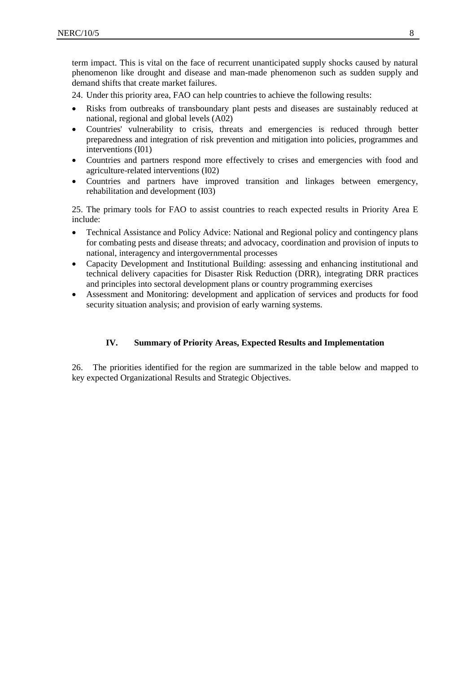term impact. This is vital on the face of recurrent unanticipated supply shocks caused by natural phenomenon like drought and disease and man-made phenomenon such as sudden supply and demand shifts that create market failures.

24. Under this priority area, FAO can help countries to achieve the following results:

- Risks from outbreaks of transboundary plant pests and diseases are sustainably reduced at national, regional and global levels (A02)
- Countries' vulnerability to crisis, threats and emergencies is reduced through better preparedness and integration of risk prevention and mitigation into policies, programmes and interventions (I01)
- [Countries and partners respond more effectively to crises and emergencies with food and](https://home-pires.fao.org/pires/SF_MAIN/SFDetail.xsql?selected=1&stage=05&context=SF10&SF=I02&type=OR)  [agriculture-related interventions](https://home-pires.fao.org/pires/SF_MAIN/SFDetail.xsql?selected=1&stage=05&context=SF10&SF=I02&type=OR) (I02)
- Countries and partners have improved transition and linkages between emergency, rehabilitation and development (I03)

25. The primary tools for FAO to assist countries to reach expected results in Priority Area E include:

- Technical Assistance and Policy Advice: National and Regional policy and contingency plans for combating pests and disease threats; and advocacy, coordination and provision of inputs to national, interagency and intergovernmental processes
- Capacity Development and Institutional Building: assessing and enhancing institutional and technical delivery capacities for Disaster Risk Reduction (DRR), integrating DRR practices and principles into sectoral development plans or country programming exercises
- Assessment and Monitoring: development and application of services and products for food security situation analysis; and provision of early warning systems.

#### **IV. Summary of Priority Areas, Expected Results and Implementation**

<span id="page-7-0"></span>26. The priorities identified for the region are summarized in the table below and mapped to key expected Organizational Results and Strategic Objectives.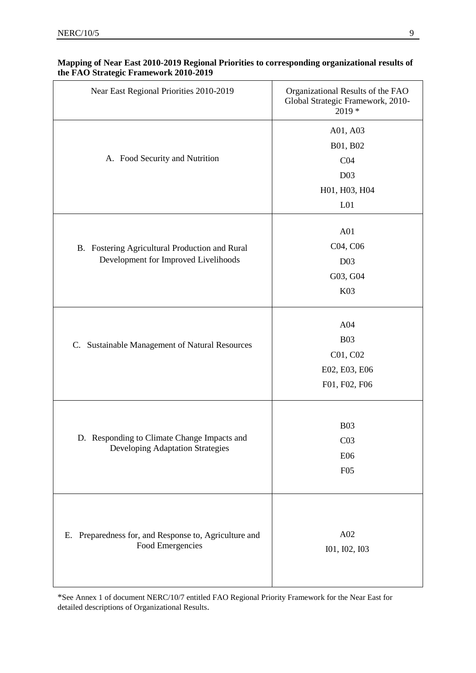| Near East Regional Priorities 2010-2019                                                | Organizational Results of the FAO<br>Global Strategic Framework, 2010-<br>2019 *               |
|----------------------------------------------------------------------------------------|------------------------------------------------------------------------------------------------|
| A. Food Security and Nutrition                                                         | A01, A03<br>B01, B02<br>CO <sub>4</sub><br>D <sub>03</sub><br>H01, H03, H04<br>L <sub>01</sub> |
| B. Fostering Agricultural Production and Rural<br>Development for Improved Livelihoods | A01<br>C04, C06<br>D <sub>03</sub><br>G03, G04<br>K03                                          |
| Sustainable Management of Natural Resources<br>C.                                      | A04<br><b>B03</b><br>C01, C02<br>E02, E03, E06<br>F01, F02, F06                                |
| D. Responding to Climate Change Impacts and<br><b>Developing Adaptation Strategies</b> | <b>B03</b><br>CO <sub>3</sub><br>E06<br>F05                                                    |
| E. Preparedness for, and Response to, Agriculture and<br>Food Emergencies              | A02<br>101, 102, 103                                                                           |

#### **Mapping of Near East 2010-2019 Regional Priorities to corresponding organizational results of the FAO Strategic Framework 2010-2019**

\*See Annex 1 of document NERC/10/7 entitled FAO Regional Priority Framework for the Near East for detailed descriptions of Organizational Results.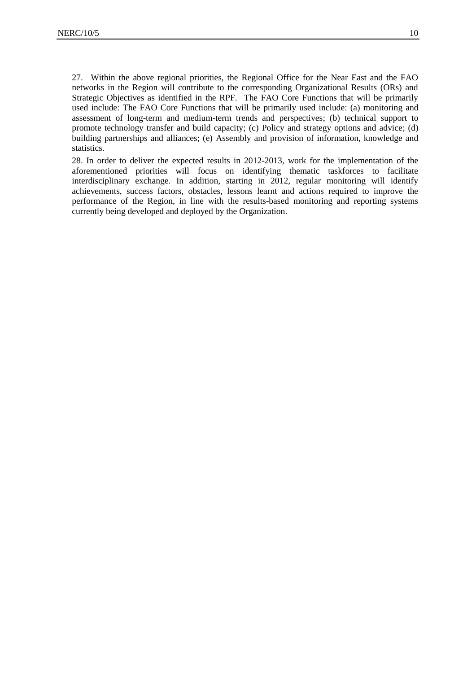27. Within the above regional priorities, the Regional Office for the Near East and the FAO networks in the Region will contribute to the corresponding Organizational Results (ORs) and Strategic Objectives as identified in the RPF. The FAO Core Functions that will be primarily used include: The FAO Core Functions that will be primarily used include: (a) monitoring and assessment of long-term and medium-term trends and perspectives; (b) technical support to promote technology transfer and build capacity; (c) Policy and strategy options and advice; (d) building partnerships and alliances; (e) Assembly and provision of information, knowledge and statistics.

28. In order to deliver the expected results in 2012-2013, work for the implementation of the aforementioned priorities will focus on identifying thematic taskforces to facilitate interdisciplinary exchange. In addition, starting in 2012, regular monitoring will identify achievements, success factors, obstacles, lessons learnt and actions required to improve the performance of the Region, in line with the results-based monitoring and reporting systems currently being developed and deployed by the Organization.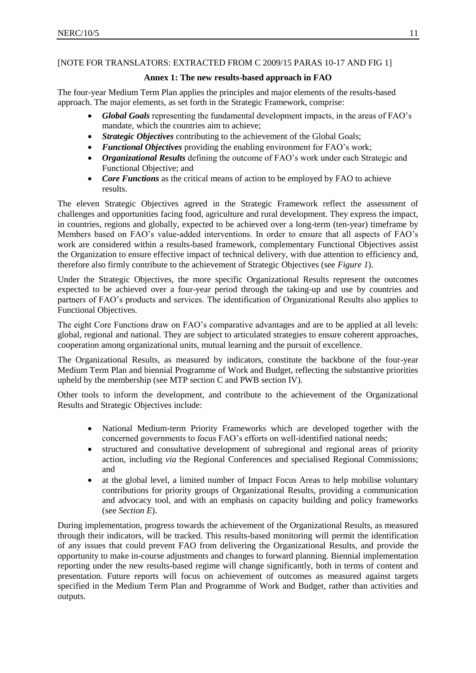# [NOTE FOR TRANSLATORS: EXTRACTED FROM C 2009/15 PARAS 10-17 AND FIG 1]

#### **Annex 1: The new results-based approach in FAO**

The four-year Medium Term Plan applies the principles and major elements of the results-based approach. The major elements, as set forth in the Strategic Framework, comprise:

- *Global Goals* representing the fundamental development impacts, in the areas of FAO's mandate, which the countries aim to achieve;
- *Strategic Objectives* contributing to the achievement of the Global Goals;
- *Functional Objectives* providing the enabling environment for FAO's work;
- *Organizational Results* defining the outcome of FAO's work under each Strategic and Functional Objective; and
- *Core Functions* as the critical means of action to be employed by FAO to achieve results.

The eleven Strategic Objectives agreed in the Strategic Framework reflect the assessment of challenges and opportunities facing food, agriculture and rural development. They express the impact, in countries, regions and globally, expected to be achieved over a long-term (ten-year) timeframe by Members based on FAO's value-added interventions. In order to ensure that all aspects of FAO's work are considered within a results-based framework, complementary Functional Objectives assist the Organization to ensure effective impact of technical delivery, with due attention to efficiency and, therefore also firmly contribute to the achievement of Strategic Objectives (see *Figure 1*).

Under the Strategic Objectives, the more specific Organizational Results represent the outcomes expected to be achieved over a four-year period through the taking-up and use by countries and partners of FAO's products and services. The identification of Organizational Results also applies to Functional Objectives.

The eight Core Functions draw on FAO's comparative advantages and are to be applied at all levels: global, regional and national. They are subject to articulated strategies to ensure coherent approaches, cooperation among organizational units, mutual learning and the pursuit of excellence.

The Organizational Results, as measured by indicators, constitute the backbone of the four-year Medium Term Plan and biennial Programme of Work and Budget, reflecting the substantive priorities upheld by the membership (see MTP section C and PWB section IV).

Other tools to inform the development, and contribute to the achievement of the Organizational Results and Strategic Objectives include:

- National Medium-term Priority Frameworks which are developed together with the concerned governments to focus FAO's efforts on well-identified national needs;
- structured and consultative development of subregional and regional areas of priority action, including *via* the Regional Conferences and specialised Regional Commissions; and
- at the global level, a limited number of Impact Focus Areas to help mobilise voluntary contributions for priority groups of Organizational Results, providing a communication and advocacy tool, and with an emphasis on capacity building and policy frameworks (see *Section E*).

During implementation, progress towards the achievement of the Organizational Results, as measured through their indicators, will be tracked. This results-based monitoring will permit the identification of any issues that could prevent FAO from delivering the Organizational Results, and provide the opportunity to make in-course adjustments and changes to forward planning. Biennial implementation reporting under the new results-based regime will change significantly, both in terms of content and presentation. Future reports will focus on achievement of outcomes as measured against targets specified in the Medium Term Plan and Programme of Work and Budget, rather than activities and outputs.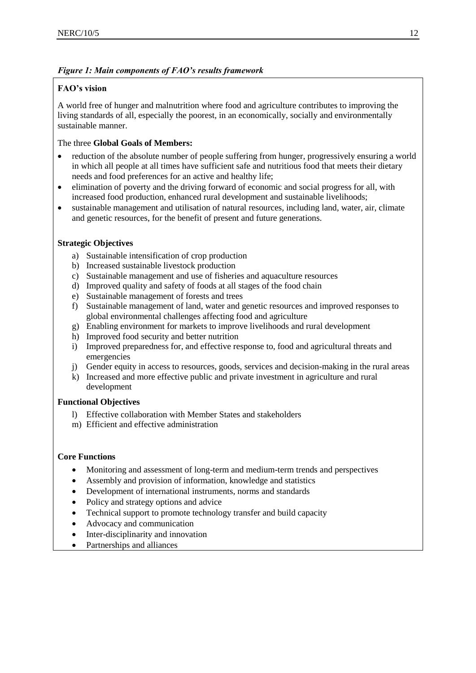# *Figure 1: Main components of FAO's results framework*

# **FAO's vision**

A world free of hunger and malnutrition where food and agriculture contributes to improving the living standards of all, especially the poorest, in an economically, socially and environmentally sustainable manner.

# The three **Global Goals of Members:**

- reduction of the absolute number of people suffering from hunger, progressively ensuring a world in which all people at all times have sufficient safe and nutritious food that meets their dietary needs and food preferences for an active and healthy life;
- elimination of poverty and the driving forward of economic and social progress for all, with increased food production, enhanced rural development and sustainable livelihoods;
- sustainable management and utilisation of natural resources, including land, water, air, climate and genetic resources, for the benefit of present and future generations.

# **Strategic Objectives**

- a) Sustainable intensification of crop production
- b) Increased sustainable livestock production
- c) Sustainable management and use of fisheries and aquaculture resources
- d) Improved quality and safety of foods at all stages of the food chain
- e) Sustainable management of forests and trees
- f) Sustainable management of land, water and genetic resources and improved responses to global environmental challenges affecting food and agriculture
- g) Enabling environment for markets to improve livelihoods and rural development
- h) Improved food security and better nutrition
- i) Improved preparedness for, and effective response to, food and agricultural threats and emergencies
- j) Gender equity in access to resources, goods, services and decision-making in the rural areas
- k) Increased and more effective public and private investment in agriculture and rural development

# **Functional Objectives**

- l) Effective collaboration with Member States and stakeholders
- m) Efficient and effective administration

# **Core Functions**

- Monitoring and assessment of long-term and medium-term trends and perspectives
- Assembly and provision of information, knowledge and statistics
- Development of international instruments, norms and standards
- Policy and strategy options and advice
- Technical support to promote technology transfer and build capacity
- Advocacy and communication
- Inter-disciplinarity and innovation
- Partnerships and alliances